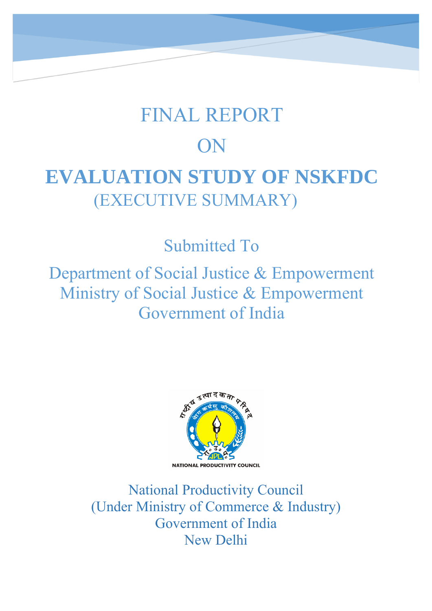# FINAL REPORT ON **EVALUATION STUDY OF NSKFDC** (EXECUTIVE SUMMARY)

Submitted To

Department of Social Justice & Empowerment Ministry of Social Justice & Empowerment Government of India



National Productivity Council (Under Ministry of Commerce & Industry) Government of India New Delhi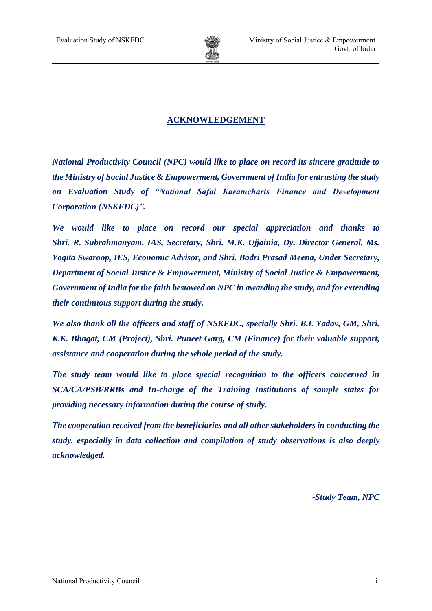

## **ACKNOWLEDGEMENT**

*National Productivity Council (NPC) would like to place on record its sincere gratitude to the Ministry of Social Justice & Empowerment, Government of India for entrusting the study on Evaluation Study of "National Safai Karamcharis Finance and Development Corporation (NSKFDC)".*

*We would like to place on record our special appreciation and thanks to Shri. R. Subrahmanyam, IAS, Secretary, Shri. M.K. Ujjainia, Dy. Director General, Ms. Yogita Swaroop, IES, Economic Advisor, and Shri. Badri Prasad Meena, Under Secretary, Department of Social Justice & Empowerment, Ministry of Social Justice & Empowerment, Government of India for the faith bestowed on NPC in awarding the study, and for extending their continuous support during the study.* 

*We also thank all the officers and staff of NSKFDC, specially Shri. B.L Yadav, GM, Shri. K.K. Bhagat, CM (Project), Shri. Puneet Garg, CM (Finance) for their valuable support, assistance and cooperation during the whole period of the study.* 

*The study team would like to place special recognition to the officers concerned in SCA/CA/PSB/RRBs and In-charge of the Training Institutions of sample states for providing necessary information during the course of study.* 

*The cooperation received from the beneficiaries and all other stakeholders in conducting the study, especially in data collection and compilation of study observations is also deeply acknowledged.* 

*-Study Team, NPC*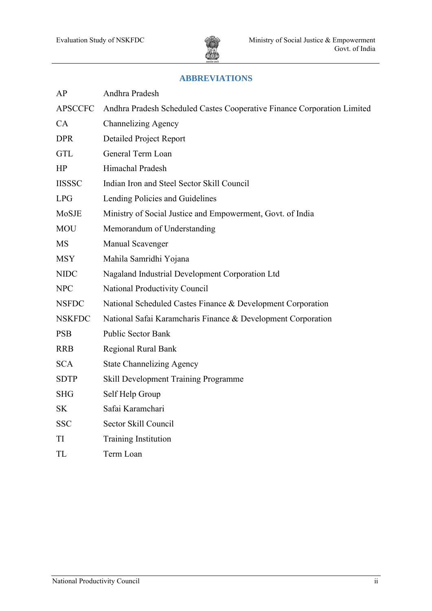

## **ABBREVIATIONS**

| AP             | Andhra Pradesh                                                          |
|----------------|-------------------------------------------------------------------------|
| <b>APSCCFC</b> | Andhra Pradesh Scheduled Castes Cooperative Finance Corporation Limited |
| CA             | <b>Channelizing Agency</b>                                              |
| <b>DPR</b>     | <b>Detailed Project Report</b>                                          |
| <b>GTL</b>     | General Term Loan                                                       |
| HP             | Himachal Pradesh                                                        |
| <b>IISSSC</b>  | Indian Iron and Steel Sector Skill Council                              |
| <b>LPG</b>     | Lending Policies and Guidelines                                         |
| MoSJE          | Ministry of Social Justice and Empowerment, Govt. of India              |
| <b>MOU</b>     | Memorandum of Understanding                                             |
| <b>MS</b>      | <b>Manual Scavenger</b>                                                 |
| <b>MSY</b>     | Mahila Samridhi Yojana                                                  |
| <b>NIDC</b>    | Nagaland Industrial Development Corporation Ltd                         |
| <b>NPC</b>     | National Productivity Council                                           |
| <b>NSFDC</b>   | National Scheduled Castes Finance & Development Corporation             |
| <b>NSKFDC</b>  | National Safai Karamcharis Finance & Development Corporation            |
| <b>PSB</b>     | <b>Public Sector Bank</b>                                               |
| <b>RRB</b>     | <b>Regional Rural Bank</b>                                              |
| <b>SCA</b>     | <b>State Channelizing Agency</b>                                        |
| <b>SDTP</b>    | Skill Development Training Programme                                    |
| <b>SHG</b>     | Self Help Group                                                         |
| SK             | Safai Karamchari                                                        |
| <b>SSC</b>     | Sector Skill Council                                                    |
| TI             | <b>Training Institution</b>                                             |
| TL             | Term Loan                                                               |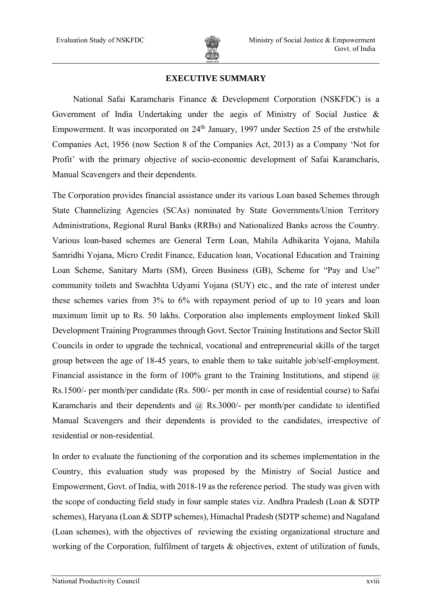

## **EXECUTIVE SUMMARY**

National Safai Karamcharis Finance & Development Corporation (NSKFDC) is a Government of India Undertaking under the aegis of Ministry of Social Justice & Empowerment. It was incorporated on 24<sup>th</sup> January, 1997 under Section 25 of the erstwhile Companies Act, 1956 (now Section 8 of the Companies Act, 2013) as a Company 'Not for Profit' with the primary objective of socio-economic development of Safai Karamcharis, Manual Scavengers and their dependents.

The Corporation provides financial assistance under its various Loan based Schemes through State Channelizing Agencies (SCAs) nominated by State Governments/Union Territory Administrations, Regional Rural Banks (RRBs) and Nationalized Banks across the Country. Various loan-based schemes are General Term Loan, Mahila Adhikarita Yojana, Mahila Samridhi Yojana, Micro Credit Finance, Education loan, Vocational Education and Training Loan Scheme, Sanitary Marts (SM), Green Business (GB), Scheme for "Pay and Use" community toilets and Swachhta Udyami Yojana (SUY) etc., and the rate of interest under these schemes varies from 3% to 6% with repayment period of up to 10 years and loan maximum limit up to Rs. 50 lakhs. Corporation also implements employment linked Skill Development Training Programmes through Govt. Sector Training Institutions and Sector Skill Councils in order to upgrade the technical, vocational and entrepreneurial skills of the target group between the age of 18-45 years, to enable them to take suitable job/self-employment. Financial assistance in the form of 100% grant to the Training Institutions, and stipend  $\omega$ Rs.1500/- per month/per candidate (Rs. 500/- per month in case of residential course) to Safai Karamcharis and their dependents and  $\omega$  Rs.3000/- per month/per candidate to identified Manual Scavengers and their dependents is provided to the candidates, irrespective of residential or non-residential.

In order to evaluate the functioning of the corporation and its schemes implementation in the Country, this evaluation study was proposed by the Ministry of Social Justice and Empowerment, Govt. of India, with 2018-19 as the reference period. The study was given with the scope of conducting field study in four sample states viz. Andhra Pradesh (Loan & SDTP schemes), Haryana (Loan & SDTP schemes), Himachal Pradesh (SDTP scheme) and Nagaland (Loan schemes), with the objectives of reviewing the existing organizational structure and working of the Corporation, fulfilment of targets & objectives, extent of utilization of funds,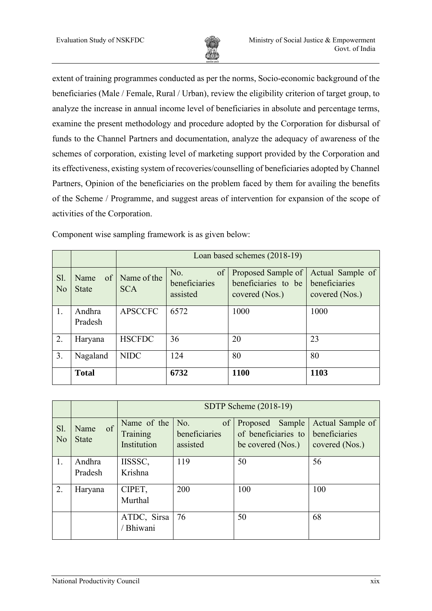

extent of training programmes conducted as per the norms, Socio-economic background of the beneficiaries (Male / Female, Rural / Urban), review the eligibility criterion of target group, to analyze the increase in annual income level of beneficiaries in absolute and percentage terms, examine the present methodology and procedure adopted by the Corporation for disbursal of funds to the Channel Partners and documentation, analyze the adequacy of awareness of the schemes of corporation, existing level of marketing support provided by the Corporation and its effectiveness, existing system of recoveries/counselling of beneficiaries adopted by Channel Partners, Opinion of the beneficiaries on the problem faced by them for availing the benefits of the Scheme / Programme, and suggest areas of intervention for expansion of the scope of activities of the Corporation.

|                       |                      | Loan based schemes (2018-19)   |                                        |                                                             |                                                     |  |  |
|-----------------------|----------------------|--------------------------------|----------------------------------------|-------------------------------------------------------------|-----------------------------------------------------|--|--|
| Sl.<br>N <sub>o</sub> | Name<br><b>State</b> | of   Name of the<br><b>SCA</b> | No.<br>of<br>beneficiaries<br>assisted | Proposed Sample of<br>beneficiaries to be<br>covered (Nos.) | Actual Sample of<br>beneficiaries<br>covered (Nos.) |  |  |
| 1.                    | Andhra<br>Pradesh    | <b>APSCCFC</b>                 | 6572                                   | 1000                                                        | 1000                                                |  |  |
| 2.                    | Haryana              | <b>HSCFDC</b>                  | 36                                     | 20                                                          | 23                                                  |  |  |
| 3.                    | Nagaland             | <b>NIDC</b>                    | 124                                    | 80                                                          | 80                                                  |  |  |
|                       | <b>Total</b>         |                                | 6732                                   | 1100                                                        | 1103                                                |  |  |

Component wise sampling framework is as given below:

|                       |                            | SDTP Scheme $(2018-19)$                |                                        |                                                                |                                                     |  |
|-----------------------|----------------------------|----------------------------------------|----------------------------------------|----------------------------------------------------------------|-----------------------------------------------------|--|
| Sl.<br>N <sub>o</sub> | of<br>Name<br><b>State</b> | Name of the<br>Training<br>Institution | of<br>No.<br>beneficiaries<br>assisted | Sample<br>Proposed<br>of beneficiaries to<br>be covered (Nos.) | Actual Sample of<br>beneficiaries<br>covered (Nos.) |  |
| 1.                    | Andhra<br>Pradesh          | IISSSC,<br>Krishna                     | 119                                    | 50                                                             | 56                                                  |  |
| 2.                    | Haryana                    | CIPET,<br>Murthal                      | 200                                    | 100                                                            | 100                                                 |  |
|                       |                            | ATDC, Sirsa<br><sup>/</sup> Bhiwani    | 76                                     | 50                                                             | 68                                                  |  |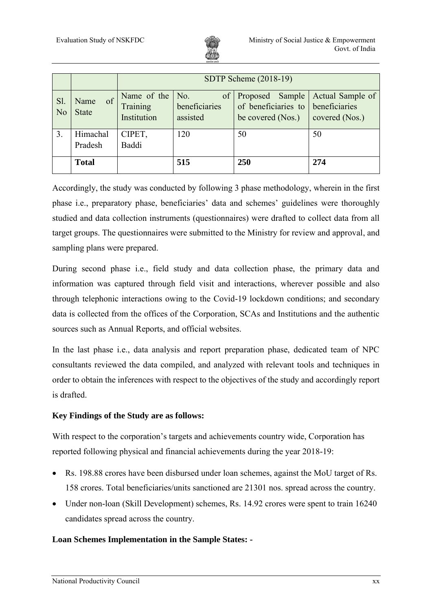

|                       |                            | SDTP Scheme (2018-19)                  |                                                |                                                                |                                                     |  |  |
|-----------------------|----------------------------|----------------------------------------|------------------------------------------------|----------------------------------------------------------------|-----------------------------------------------------|--|--|
| Sl.<br>N <sub>o</sub> | of<br>Name<br><b>State</b> | Name of the<br>Training<br>Institution | of<br>$\vert$ No.<br>beneficiaries<br>assisted | Sample<br>Proposed<br>of beneficiaries to<br>be covered (Nos.) | Actual Sample of<br>beneficiaries<br>covered (Nos.) |  |  |
| 3.                    | Himachal<br>Pradesh        | CIPET,<br>Baddi                        | 120                                            | 50                                                             | 50                                                  |  |  |
|                       | <b>Total</b>               |                                        | 515                                            | 250                                                            | 274                                                 |  |  |

Accordingly, the study was conducted by following 3 phase methodology, wherein in the first phase i.e., preparatory phase, beneficiaries' data and schemes' guidelines were thoroughly studied and data collection instruments (questionnaires) were drafted to collect data from all target groups. The questionnaires were submitted to the Ministry for review and approval, and sampling plans were prepared.

During second phase i.e., field study and data collection phase, the primary data and information was captured through field visit and interactions, wherever possible and also through telephonic interactions owing to the Covid-19 lockdown conditions; and secondary data is collected from the offices of the Corporation, SCAs and Institutions and the authentic sources such as Annual Reports, and official websites.

In the last phase i.e., data analysis and report preparation phase, dedicated team of NPC consultants reviewed the data compiled, and analyzed with relevant tools and techniques in order to obtain the inferences with respect to the objectives of the study and accordingly report is drafted.

## **Key Findings of the Study are as follows:**

With respect to the corporation's targets and achievements country wide, Corporation has reported following physical and financial achievements during the year 2018-19:

- Rs. 198.88 crores have been disbursed under loan schemes, against the MoU target of Rs. 158 crores. Total beneficiaries/units sanctioned are 21301 nos. spread across the country.
- Under non-loan (Skill Development) schemes, Rs. 14.92 crores were spent to train 16240 candidates spread across the country.

## **Loan Schemes Implementation in the Sample States: -**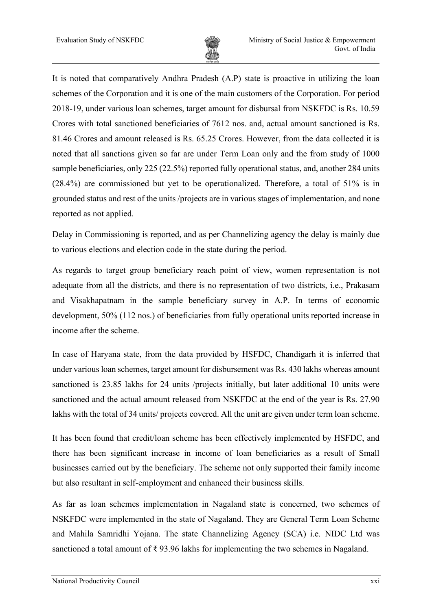

It is noted that comparatively Andhra Pradesh (A.P) state is proactive in utilizing the loan schemes of the Corporation and it is one of the main customers of the Corporation. For period 2018-19, under various loan schemes, target amount for disbursal from NSKFDC is Rs. 10.59 Crores with total sanctioned beneficiaries of 7612 nos. and, actual amount sanctioned is Rs. 81.46 Crores and amount released is Rs. 65.25 Crores. However, from the data collected it is noted that all sanctions given so far are under Term Loan only and the from study of 1000 sample beneficiaries, only 225 (22.5%) reported fully operational status, and, another 284 units (28.4%) are commissioned but yet to be operationalized. Therefore, a total of 51% is in grounded status and rest of the units /projects are in various stages of implementation, and none reported as not applied.

Delay in Commissioning is reported, and as per Channelizing agency the delay is mainly due to various elections and election code in the state during the period.

As regards to target group beneficiary reach point of view, women representation is not adequate from all the districts, and there is no representation of two districts, i.e., Prakasam and Visakhapatnam in the sample beneficiary survey in A.P. In terms of economic development, 50% (112 nos.) of beneficiaries from fully operational units reported increase in income after the scheme.

In case of Haryana state, from the data provided by HSFDC, Chandigarh it is inferred that under various loan schemes, target amount for disbursement was Rs. 430 lakhs whereas amount sanctioned is 23.85 lakhs for 24 units /projects initially, but later additional 10 units were sanctioned and the actual amount released from NSKFDC at the end of the year is Rs. 27.90 lakhs with the total of 34 units/ projects covered. All the unit are given under term loan scheme.

It has been found that credit/loan scheme has been effectively implemented by HSFDC, and there has been significant increase in income of loan beneficiaries as a result of Small businesses carried out by the beneficiary. The scheme not only supported their family income but also resultant in self-employment and enhanced their business skills.

As far as loan schemes implementation in Nagaland state is concerned, two schemes of NSKFDC were implemented in the state of Nagaland. They are General Term Loan Scheme and Mahila Samridhi Yojana. The state Channelizing Agency (SCA) i.e. NIDC Ltd was sanctioned a total amount of ₹ 93.96 lakhs for implementing the two schemes in Nagaland.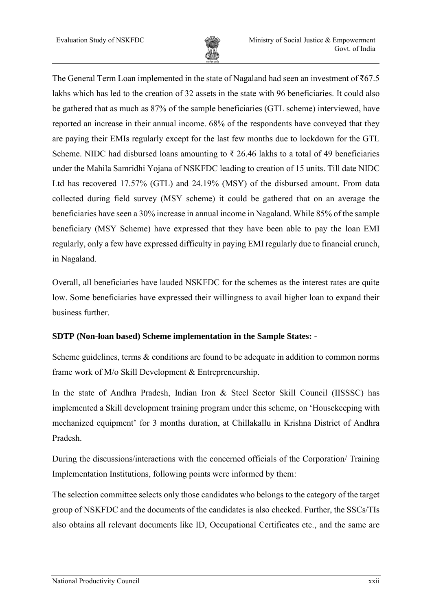

The General Term Loan implemented in the state of Nagaland had seen an investment of ₹67.5 lakhs which has led to the creation of 32 assets in the state with 96 beneficiaries. It could also be gathered that as much as 87% of the sample beneficiaries (GTL scheme) interviewed, have reported an increase in their annual income. 68% of the respondents have conveyed that they are paying their EMIs regularly except for the last few months due to lockdown for the GTL Scheme. NIDC had disbursed loans amounting to  $\bar{\tau}$  26.46 lakhs to a total of 49 beneficiaries under the Mahila Samridhi Yojana of NSKFDC leading to creation of 15 units. Till date NIDC Ltd has recovered 17.57% (GTL) and 24.19% (MSY) of the disbursed amount. From data collected during field survey (MSY scheme) it could be gathered that on an average the beneficiaries have seen a 30% increase in annual income in Nagaland. While 85% of the sample beneficiary (MSY Scheme) have expressed that they have been able to pay the loan EMI regularly, only a few have expressed difficulty in paying EMI regularly due to financial crunch, in Nagaland.

Overall, all beneficiaries have lauded NSKFDC for the schemes as the interest rates are quite low. Some beneficiaries have expressed their willingness to avail higher loan to expand their business further.

## **SDTP (Non-loan based) Scheme implementation in the Sample States: -**

Scheme guidelines, terms & conditions are found to be adequate in addition to common norms frame work of M/o Skill Development & Entrepreneurship.

In the state of Andhra Pradesh, Indian Iron & Steel Sector Skill Council (IISSSC) has implemented a Skill development training program under this scheme, on 'Housekeeping with mechanized equipment' for 3 months duration, at Chillakallu in Krishna District of Andhra Pradesh.

During the discussions/interactions with the concerned officials of the Corporation/ Training Implementation Institutions, following points were informed by them:

The selection committee selects only those candidates who belongs to the category of the target group of NSKFDC and the documents of the candidates is also checked. Further, the SSCs/TIs also obtains all relevant documents like ID, Occupational Certificates etc., and the same are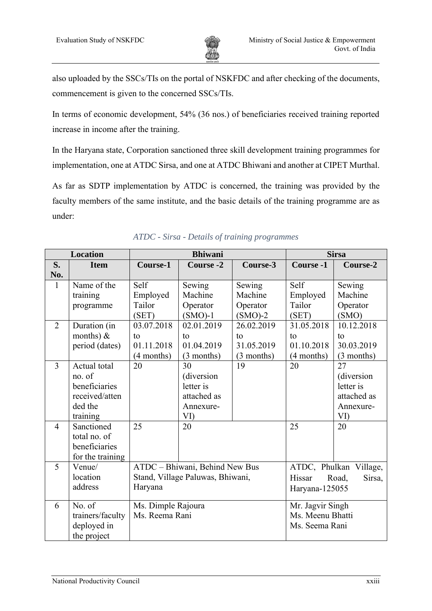

also uploaded by the SSCs/TIs on the portal of NSKFDC and after checking of the documents, commencement is given to the concerned SSCs/TIs.

In terms of economic development, 54% (36 nos.) of beneficiaries received training reported increase in income after the training.

In the Haryana state, Corporation sanctioned three skill development training programmes for implementation, one at ATDC Sirsa, and one at ATDC Bhiwani and another at CIPET Murthal.

As far as SDTP implementation by ATDC is concerned, the training was provided by the faculty members of the same institute, and the basic details of the training programme are as under:

| Location       |                  | <b>Bhiwani</b>                   |              |                  | <b>Sirsa</b>     |             |
|----------------|------------------|----------------------------------|--------------|------------------|------------------|-------------|
| S.             | <b>Item</b>      | Course-1                         | Course -2    | Course-3         | <b>Course-1</b>  | Course-2    |
| No.            |                  |                                  |              |                  |                  |             |
| $\mathbf{1}$   | Name of the      | Self                             | Sewing       | Sewing           | Self             | Sewing      |
|                | training         | Employed                         | Machine      | Machine          | Employed         | Machine     |
|                | programme        | Tailor                           | Operator     | Operator         | Tailor           | Operator    |
|                |                  | (SET)                            | $(SMO)-1$    | $(SMO)-2$        | (SET)            | (SMO)       |
| $\overline{2}$ | Duration (in     | 03.07.2018                       | 02.01.2019   | 26.02.2019       | 31.05.2018       | 10.12.2018  |
|                | months) $\&$     | to                               | to           | to               | to               | to          |
|                | period (dates)   | 01.11.2018                       | 01.04.2019   | 31.05.2019       | 01.10.2018       | 30.03.2019  |
|                |                  | (4 months)                       | $(3$ months) | $(3$ months)     | (4 months)       | (3 months)  |
| $\overline{3}$ | Actual total     | 20                               | 30           | 19               | 20               | 27          |
|                | no. of           |                                  | (diversion   |                  |                  | (diversion  |
|                | beneficiaries    |                                  | letter is    |                  |                  | letter is   |
|                | received/atten   |                                  | attached as  |                  |                  | attached as |
|                | ded the          |                                  | Annexure-    |                  |                  | Annexure-   |
|                | training         |                                  | VI)          |                  |                  | VI)         |
| $\overline{4}$ | Sanctioned       | 25                               | 20           |                  | 25               | 20          |
|                | total no. of     |                                  |              |                  |                  |             |
|                | beneficiaries    |                                  |              |                  |                  |             |
|                | for the training |                                  |              |                  |                  |             |
| 5              | Venue/           | ATDC - Bhiwani, Behind New Bus   |              |                  | ATDC, Phulkan    | Village,    |
|                | location         | Stand, Village Paluwas, Bhiwani, |              | Hissar           | Sirsa,<br>Road,  |             |
|                | address          | Haryana                          |              | Haryana-125055   |                  |             |
|                |                  |                                  |              |                  |                  |             |
| 6              | No. of           | Ms. Dimple Rajoura               |              |                  | Mr. Jagvir Singh |             |
|                | trainers/faculty | Ms. Reema Rani                   |              | Ms. Meenu Bhatti |                  |             |
|                | deployed in      |                                  |              |                  | Ms. Seema Rani   |             |
|                | the project      |                                  |              |                  |                  |             |

*ATDC - Sirsa - Details of training programmes*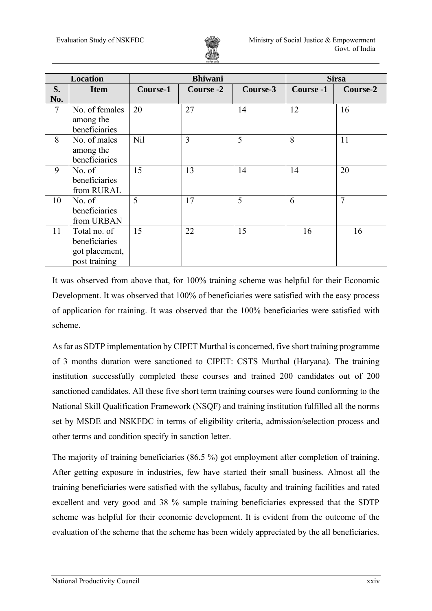

| Location       |                                                                  | <b>Bhiwani</b>  |           |          | <b>Sirsa</b> |                |
|----------------|------------------------------------------------------------------|-----------------|-----------|----------|--------------|----------------|
| S.<br>No.      | <b>Item</b>                                                      | Course-1        | Course -2 | Course-3 | Course -1    | Course-2       |
| $\overline{7}$ | No. of females<br>among the<br>beneficiaries                     | 20              | 27        | 14       | 12           | 16             |
| 8              | No. of males<br>among the<br>beneficiaries                       | N <sub>il</sub> | 3         | 5        | 8            | 11             |
| 9              | No. of<br>beneficiaries<br>from RURAL                            | 15              | 13        | 14       | 14           | 20             |
| 10             | No. of<br>beneficiaries<br>from URBAN                            | 5               | 17        | 5        | 6            | $\overline{7}$ |
| 11             | Total no. of<br>beneficiaries<br>got placement,<br>post training | 15              | 22        | 15       | 16           | 16             |

It was observed from above that, for 100% training scheme was helpful for their Economic Development. It was observed that 100% of beneficiaries were satisfied with the easy process of application for training. It was observed that the 100% beneficiaries were satisfied with scheme.

As far as SDTP implementation by CIPET Murthal is concerned, five short training programme of 3 months duration were sanctioned to CIPET: CSTS Murthal (Haryana). The training institution successfully completed these courses and trained 200 candidates out of 200 sanctioned candidates. All these five short term training courses were found conforming to the National Skill Qualification Framework (NSQF) and training institution fulfilled all the norms set by MSDE and NSKFDC in terms of eligibility criteria, admission/selection process and other terms and condition specify in sanction letter.

The majority of training beneficiaries (86.5 %) got employment after completion of training. After getting exposure in industries, few have started their small business. Almost all the training beneficiaries were satisfied with the syllabus, faculty and training facilities and rated excellent and very good and 38 % sample training beneficiaries expressed that the SDTP scheme was helpful for their economic development. It is evident from the outcome of the evaluation of the scheme that the scheme has been widely appreciated by the all beneficiaries.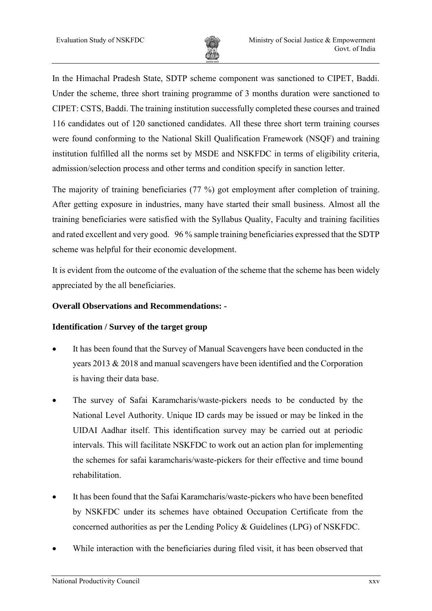

In the Himachal Pradesh State, SDTP scheme component was sanctioned to CIPET, Baddi. Under the scheme, three short training programme of 3 months duration were sanctioned to CIPET: CSTS, Baddi. The training institution successfully completed these courses and trained 116 candidates out of 120 sanctioned candidates. All these three short term training courses were found conforming to the National Skill Qualification Framework (NSQF) and training institution fulfilled all the norms set by MSDE and NSKFDC in terms of eligibility criteria, admission/selection process and other terms and condition specify in sanction letter.

The majority of training beneficiaries (77 %) got employment after completion of training. After getting exposure in industries, many have started their small business. Almost all the training beneficiaries were satisfied with the Syllabus Quality, Faculty and training facilities and rated excellent and very good. 96 % sample training beneficiaries expressed that the SDTP scheme was helpful for their economic development.

It is evident from the outcome of the evaluation of the scheme that the scheme has been widely appreciated by the all beneficiaries.

#### **Overall Observations and Recommendations: -**

#### **Identification / Survey of the target group**

- It has been found that the Survey of Manual Scavengers have been conducted in the years 2013 & 2018 and manual scavengers have been identified and the Corporation is having their data base.
- The survey of Safai Karamcharis/waste-pickers needs to be conducted by the National Level Authority. Unique ID cards may be issued or may be linked in the UIDAI Aadhar itself. This identification survey may be carried out at periodic intervals. This will facilitate NSKFDC to work out an action plan for implementing the schemes for safai karamcharis/waste-pickers for their effective and time bound rehabilitation.
- It has been found that the Safai Karamcharis/waste-pickers who have been benefited by NSKFDC under its schemes have obtained Occupation Certificate from the concerned authorities as per the Lending Policy & Guidelines (LPG) of NSKFDC.
- While interaction with the beneficiaries during filed visit, it has been observed that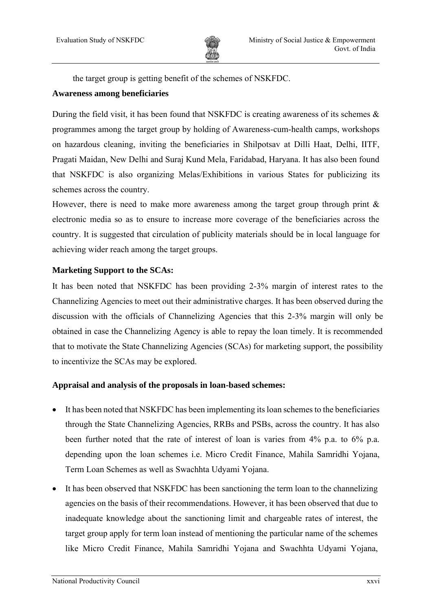

the target group is getting benefit of the schemes of NSKFDC.

#### **Awareness among beneficiaries**

During the field visit, it has been found that NSKFDC is creating awareness of its schemes  $\&$ programmes among the target group by holding of Awareness-cum-health camps, workshops on hazardous cleaning, inviting the beneficiaries in Shilpotsav at Dilli Haat, Delhi, IITF, Pragati Maidan, New Delhi and Suraj Kund Mela, Faridabad, Haryana. It has also been found that NSKFDC is also organizing Melas/Exhibitions in various States for publicizing its schemes across the country.

However, there is need to make more awareness among the target group through print  $\&$ electronic media so as to ensure to increase more coverage of the beneficiaries across the country. It is suggested that circulation of publicity materials should be in local language for achieving wider reach among the target groups.

#### **Marketing Support to the SCAs:**

It has been noted that NSKFDC has been providing 2-3% margin of interest rates to the Channelizing Agencies to meet out their administrative charges. It has been observed during the discussion with the officials of Channelizing Agencies that this 2-3% margin will only be obtained in case the Channelizing Agency is able to repay the loan timely. It is recommended that to motivate the State Channelizing Agencies (SCAs) for marketing support, the possibility to incentivize the SCAs may be explored.

#### **Appraisal and analysis of the proposals in loan-based schemes:**

- It has been noted that NSKFDC has been implementing its loan schemes to the beneficiaries through the State Channelizing Agencies, RRBs and PSBs, across the country. It has also been further noted that the rate of interest of loan is varies from 4% p.a. to 6% p.a. depending upon the loan schemes i.e. Micro Credit Finance, Mahila Samridhi Yojana, Term Loan Schemes as well as Swachhta Udyami Yojana.
- It has been observed that NSKFDC has been sanctioning the term loan to the channelizing agencies on the basis of their recommendations. However, it has been observed that due to inadequate knowledge about the sanctioning limit and chargeable rates of interest, the target group apply for term loan instead of mentioning the particular name of the schemes like Micro Credit Finance, Mahila Samridhi Yojana and Swachhta Udyami Yojana,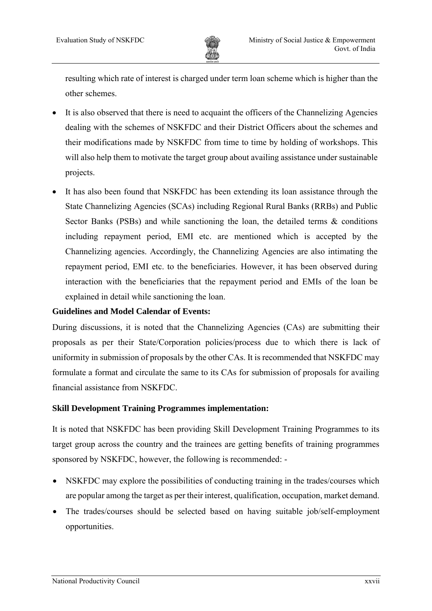

resulting which rate of interest is charged under term loan scheme which is higher than the other schemes.

- It is also observed that there is need to acquaint the officers of the Channelizing Agencies dealing with the schemes of NSKFDC and their District Officers about the schemes and their modifications made by NSKFDC from time to time by holding of workshops. This will also help them to motivate the target group about availing assistance under sustainable projects.
- It has also been found that NSKFDC has been extending its loan assistance through the State Channelizing Agencies (SCAs) including Regional Rural Banks (RRBs) and Public Sector Banks (PSBs) and while sanctioning the loan, the detailed terms & conditions including repayment period, EMI etc. are mentioned which is accepted by the Channelizing agencies. Accordingly, the Channelizing Agencies are also intimating the repayment period, EMI etc. to the beneficiaries. However, it has been observed during interaction with the beneficiaries that the repayment period and EMIs of the loan be explained in detail while sanctioning the loan.

#### **Guidelines and Model Calendar of Events:**

During discussions, it is noted that the Channelizing Agencies (CAs) are submitting their proposals as per their State/Corporation policies/process due to which there is lack of uniformity in submission of proposals by the other CAs. It is recommended that NSKFDC may formulate a format and circulate the same to its CAs for submission of proposals for availing financial assistance from NSKFDC.

#### **Skill Development Training Programmes implementation:**

It is noted that NSKFDC has been providing Skill Development Training Programmes to its target group across the country and the trainees are getting benefits of training programmes sponsored by NSKFDC, however, the following is recommended: -

- NSKFDC may explore the possibilities of conducting training in the trades/courses which are popular among the target as per their interest, qualification, occupation, market demand.
- The trades/courses should be selected based on having suitable job/self-employment opportunities.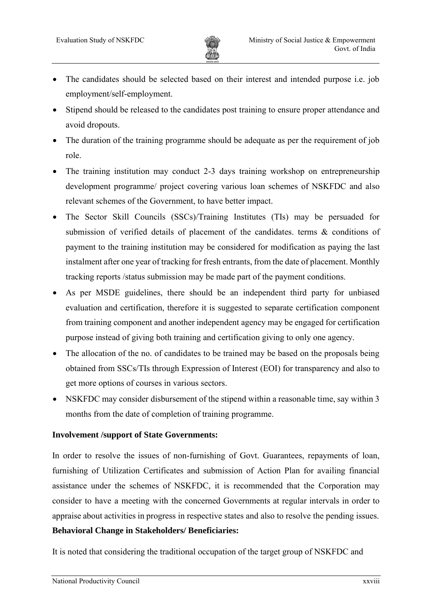

- The candidates should be selected based on their interest and intended purpose i.e. job employment/self-employment.
- Stipend should be released to the candidates post training to ensure proper attendance and avoid dropouts.
- The duration of the training programme should be adequate as per the requirement of job role.
- The training institution may conduct 2-3 days training workshop on entrepreneurship development programme/ project covering various loan schemes of NSKFDC and also relevant schemes of the Government, to have better impact.
- The Sector Skill Councils (SSCs)/Training Institutes (TIs) may be persuaded for submission of verified details of placement of the candidates. terms & conditions of payment to the training institution may be considered for modification as paying the last instalment after one year of tracking for fresh entrants, from the date of placement. Monthly tracking reports /status submission may be made part of the payment conditions.
- As per MSDE guidelines, there should be an independent third party for unbiased evaluation and certification, therefore it is suggested to separate certification component from training component and another independent agency may be engaged for certification purpose instead of giving both training and certification giving to only one agency.
- The allocation of the no. of candidates to be trained may be based on the proposals being obtained from SSCs/TIs through Expression of Interest (EOI) for transparency and also to get more options of courses in various sectors.
- NSKFDC may consider disbursement of the stipend within a reasonable time, say within 3 months from the date of completion of training programme.

#### **Involvement /support of State Governments:**

In order to resolve the issues of non-furnishing of Govt. Guarantees, repayments of loan, furnishing of Utilization Certificates and submission of Action Plan for availing financial assistance under the schemes of NSKFDC, it is recommended that the Corporation may consider to have a meeting with the concerned Governments at regular intervals in order to appraise about activities in progress in respective states and also to resolve the pending issues.

#### **Behavioral Change in Stakeholders/ Beneficiaries:**

It is noted that considering the traditional occupation of the target group of NSKFDC and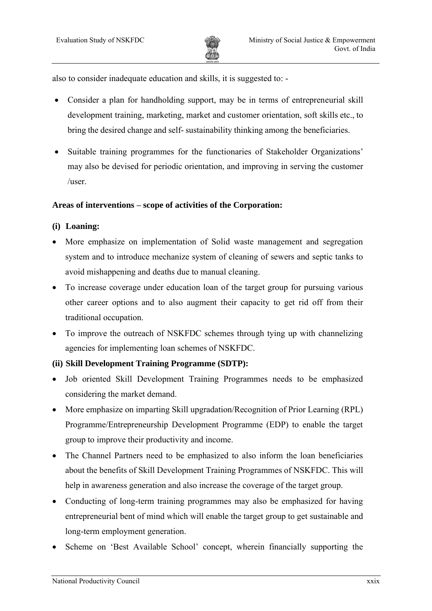

also to consider inadequate education and skills, it is suggested to: -

- Consider a plan for handholding support, may be in terms of entrepreneurial skill development training, marketing, market and customer orientation, soft skills etc., to bring the desired change and self- sustainability thinking among the beneficiaries.
- Suitable training programmes for the functionaries of Stakeholder Organizations' may also be devised for periodic orientation, and improving in serving the customer /user.

#### **Areas of interventions – scope of activities of the Corporation:**

#### **(i) Loaning:**

- More emphasize on implementation of Solid waste management and segregation system and to introduce mechanize system of cleaning of sewers and septic tanks to avoid mishappening and deaths due to manual cleaning.
- To increase coverage under education loan of the target group for pursuing various other career options and to also augment their capacity to get rid off from their traditional occupation.
- To improve the outreach of NSKFDC schemes through tying up with channelizing agencies for implementing loan schemes of NSKFDC.

#### **(ii) Skill Development Training Programme (SDTP):**

- Job oriented Skill Development Training Programmes needs to be emphasized considering the market demand.
- More emphasize on imparting Skill upgradation/Recognition of Prior Learning (RPL) Programme/Entrepreneurship Development Programme (EDP) to enable the target group to improve their productivity and income.
- The Channel Partners need to be emphasized to also inform the loan beneficiaries about the benefits of Skill Development Training Programmes of NSKFDC. This will help in awareness generation and also increase the coverage of the target group.
- Conducting of long-term training programmes may also be emphasized for having entrepreneurial bent of mind which will enable the target group to get sustainable and long-term employment generation.
- Scheme on 'Best Available School' concept, wherein financially supporting the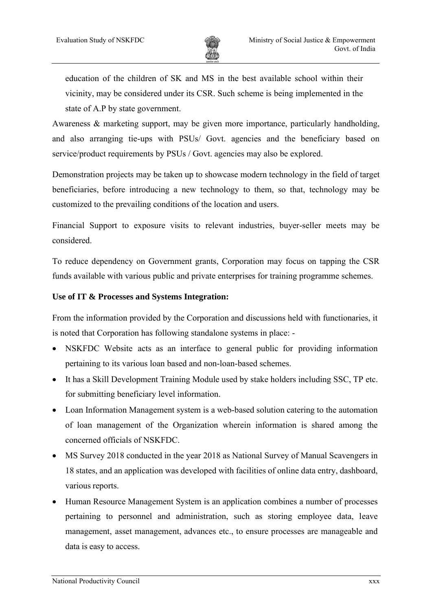

education of the children of SK and MS in the best available school within their vicinity, may be considered under its CSR. Such scheme is being implemented in the state of A.P by state government.

Awareness & marketing support, may be given more importance, particularly handholding, and also arranging tie-ups with PSUs/ Govt. agencies and the beneficiary based on service/product requirements by PSUs / Govt. agencies may also be explored.

Demonstration projects may be taken up to showcase modern technology in the field of target beneficiaries, before introducing a new technology to them, so that, technology may be customized to the prevailing conditions of the location and users.

Financial Support to exposure visits to relevant industries, buyer-seller meets may be considered.

To reduce dependency on Government grants, Corporation may focus on tapping the CSR funds available with various public and private enterprises for training programme schemes.

#### **Use of IT & Processes and Systems Integration:**

From the information provided by the Corporation and discussions held with functionaries, it is noted that Corporation has following standalone systems in place: -

- NSKFDC Website acts as an interface to general public for providing information pertaining to its various loan based and non-loan-based schemes.
- It has a Skill Development Training Module used by stake holders including SSC, TP etc. for submitting beneficiary level information.
- Loan Information Management system is a web-based solution catering to the automation of loan management of the Organization wherein information is shared among the concerned officials of NSKFDC.
- MS Survey 2018 conducted in the year 2018 as National Survey of Manual Scavengers in 18 states, and an application was developed with facilities of online data entry, dashboard, various reports.
- Human Resource Management System is an application combines a number of processes pertaining to personnel and administration, such as storing employee data, leave management, asset management, advances etc., to ensure processes are manageable and data is easy to access.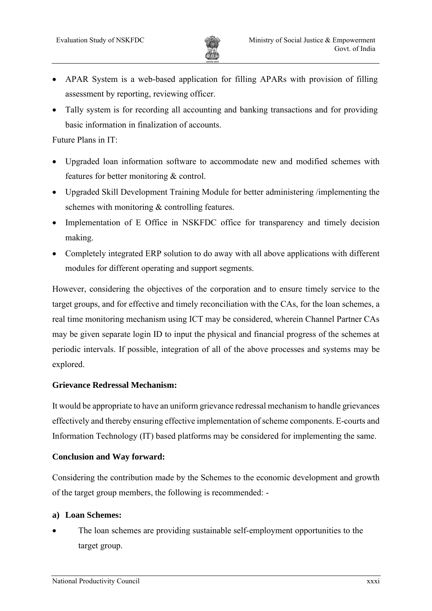

- APAR System is a web-based application for filling APARs with provision of filling assessment by reporting, reviewing officer.
- Tally system is for recording all accounting and banking transactions and for providing basic information in finalization of accounts.

Future Plans in IT:

- Upgraded loan information software to accommodate new and modified schemes with features for better monitoring & control.
- Upgraded Skill Development Training Module for better administering /implementing the schemes with monitoring & controlling features.
- Implementation of E Office in NSKFDC office for transparency and timely decision making.
- Completely integrated ERP solution to do away with all above applications with different modules for different operating and support segments.

However, considering the objectives of the corporation and to ensure timely service to the target groups, and for effective and timely reconciliation with the CAs, for the loan schemes, a real time monitoring mechanism using ICT may be considered, wherein Channel Partner CAs may be given separate login ID to input the physical and financial progress of the schemes at periodic intervals. If possible, integration of all of the above processes and systems may be explored.

#### **Grievance Redressal Mechanism:**

It would be appropriate to have an uniform grievance redressal mechanism to handle grievances effectively and thereby ensuring effective implementation of scheme components. E-courts and Information Technology (IT) based platforms may be considered for implementing the same.

#### **Conclusion and Way forward:**

Considering the contribution made by the Schemes to the economic development and growth of the target group members, the following is recommended: -

#### **a) Loan Schemes:**

The loan schemes are providing sustainable self-employment opportunities to the target group.